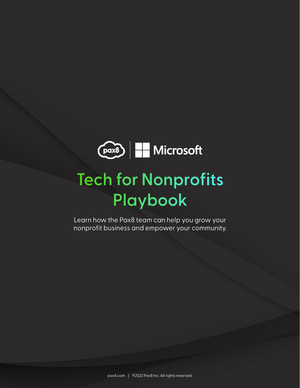

# **Tech for Nonprofits Playbook**

Learn how the Pax8 team can help you grow your nonprofit business and empower your community.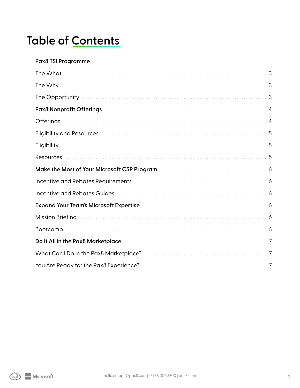# **Table of Contents**

#### **Pax8 TSI Programme**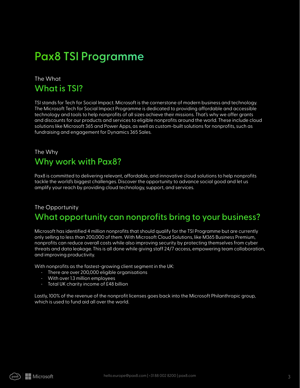# **Pax8 TSI Programme**

## The What **What is TSI?**

TSI stands for Tech for Social Impact. Microsoft is the cornerstone of modern business and technology. The Microsoft Tech for Social Impact Programme is dedicated to providing affordable and accessible technology and tools to help nonprofits of all sizes achieve their missions. That's why we offer grants and discounts for our products and services to eligible nonprofits around the world. These include cloud solutions like Microsoft 365 and Power Apps, as well as custom-built solutions for nonprofits, such as fundraising and engagement for Dynamics 365 Sales.

## The Why **Why work with Pax8?**

Pax8 is committed to delivering relevant, affordable, and innovative cloud solutions to help nonprofits tackle the world's biggest challenges. Discover the opportunity to advance social good and let us amplify your reach by providing cloud technology, support, and services.

### The Opportunity **What opportunity can nonprofits bring to your business?**

Microsoft has identified 4 million nonprofits that should qualify for the TSI Programme but are currently only selling to less than 200,000 of them. With Microsoft Cloud Solutions, like M365 Business Premium, nonprofits can reduce overall costs while also improving security by protecting themselves from cyber threats and data leakage. This is all done while giving staff 24/7 access, empowering team collaboration, and improving productivity.

With nonprofits as the fastest-growing client segment in the UK:

- There are over 200,000 eligible organisations
- With over 1.3 million employees
- Total UK charity income of £48 billion

Lastly, 100% of the revenue of the nonprofit licenses goes back into the Microsoft Philanthropic group, which is used to fund aid all over the world.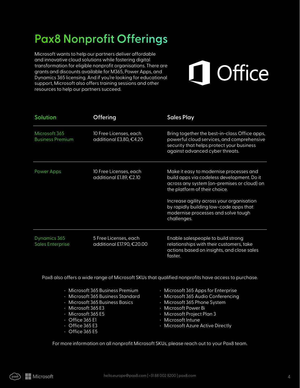# **Pax8 Nonprofit Offerings**

Microsoft wants to help our partners deliver affordable and innovative cloud solutions while fostering digital transformation for eligible nonprofit organisations. There are grants and discounts available for M365, Power Apps, and Dynamics 365 licensing. And if you're looking for educational support, Microsoft also offers training sessions and other resources to help our partners succeed.

# Office

| <b>Solution</b>                          | <b>Offering</b>                                    | <b>Sales Play</b>                                                                                                                                                                                                                                                                                                  |
|------------------------------------------|----------------------------------------------------|--------------------------------------------------------------------------------------------------------------------------------------------------------------------------------------------------------------------------------------------------------------------------------------------------------------------|
| Microsoft 365<br><b>Business Premium</b> | 10 Free Licenses, each<br>additional £3.80, €4.20  | Bring together the best-in-class Office apps,<br>powerful cloud services, and comprehensive<br>security that helps protect your business<br>against advanced cyber threats.                                                                                                                                        |
| <b>Power Apps</b>                        | 10 Free Licenses, each<br>additional £1.89, €2.10  | Make it easy to modernise processes and<br>build apps via codeless development. Do it<br>across any system (on-premises or cloud) on<br>the platform of their choice.<br>Increase agility across your organisation<br>by rapidly building low-code apps that<br>modernise processes and solve tough<br>challenges. |
| Dynamics 365<br><b>Sales Enterprise</b>  | 5 Free Licenses, each<br>additional £17.90, €20.00 | Enable salespeople to build strong<br>relationships with their customers, take<br>actions based on insights, and close sales<br>faster.                                                                                                                                                                            |

Pax8 also offers a wide range of Microsoft SKUs that qualified nonprofits have access to purchase.

| · Microsoft 365 Business Premium  | $\cdot$ N |
|-----------------------------------|-----------|
| · Microsoft 365 Business Standard | $\cdot$ N |
| · Microsoft 365 Business Basics   | $\cdot$ N |
| $\cdot$ Microsoft 365 E3          | $\cdot$ N |
| $\cdot$ Microsoft 365 E5          | $\cdot$ N |

- Office 365 E1
- $\cdot$  Office 365 E3
- $\cdot$  Office 365 E5
- Microsoft 365 Apps for Enterprise
- licrosoft 365 Audio Conferencing
- licrosoft 365 Phone System
- licrosoft Power Bi
- licrosoft Project Plan 3
- Microsoft Intune
- Microsoft Azure Active Directly

For more information on all nonprofit Microsoft SKUs, please reach out to your Pax8 team.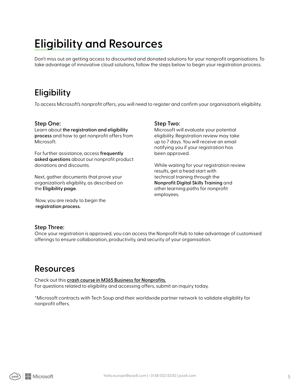# **Eligibility and Resources**

Don't miss out on getting access to discounted and donated solutions for your nonprofit organisations. To take advantage of innovative cloud solutions, follow the steps below to begin your registration process.

## **Eligibility**

To access Microsoft's nonprofit offers, you will need to register and confirm your organisation's eligibility.

#### **Step One:**

Learn about **the registration and eligibility process** and how to get nonprofit offers from Microsoft.

For further assistance, access **frequently asked questions** about our nonprofit product donations and discounts.

Next, gather documents that prove your organization's eligibility, as described on the **Eligibility page.**

 Now, you are ready to begin the **registration process.**

#### **Step Two:**

Microsoft will evaluate your potential eligibility. Registration review may take up to 7 days. You will receive an email notifying you if your registration has been approved.

While waiting for your registration review results, get a head start with technical training through the **Nonprofit Digital Skills Training** and other learning paths for nonprofit employees.

#### **Step Three:**

Once your registration is approved, you can access the Nonprofit Hub to take advantage of customised offerings to ensure collaboration, productivity, and security of your organisation.

## **Resources**

Check out this **crash course in M365 Business for Nonprofits.** For questions related to eligibility and accessing offers, submit an inquiry today.

\*Microsoft contracts with Tech Soup and their worldwide partner network to validate eligibility for nonprofit offers.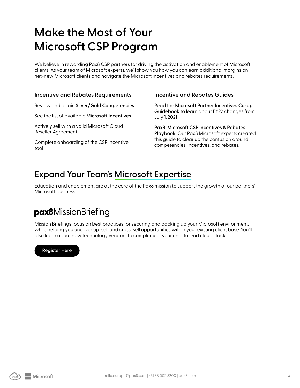# **Make the Most of Your Microsoft CSP Program**

We believe in rewarding Pax8 CSP partners for driving the activation and enablement of Microsoft clients. As your team of Microsoft experts, we'll show you how you can earn additional margins on net-new Microsoft clients and navigate the Microsoft incentives and rebates requirements.

#### **Incentive and Rebates Requirements**

Review and attain **Silver/Gold Competencies** 

See the list of available **Microsoft Incentives** 

Actively sell with a valid Microsoft Cloud Reseller Agreement

Complete onboarding of the CSP Incentive tool

#### **Incentive and Rebates Guides**

Read the **Microsoft Partner Incentives Co-op Guidebook** to learn about FY22 changes from July 1, 2021

**Pax8: Microsoft CSP Incentives & Rebates Playbook.** Our Pax8 Microsoft experts created this guide to clear up the confusion around competencies, incentives, and rebates.

## **Expand Your Team's Microsoft Expertise**

Education and enablement are at the core of the Pax8 mission to support the growth of our partners' Microsoft business.

## pax8MissionBriefing

Mission Briefings focus on best practices for securing and backing up your Microsoft environment, while helping you uncover up-sell and cross-sell opportunities within your existing client base. You'll also learn about new technology vendors to complement your end-to-end cloud stack.

#### **Register Here**